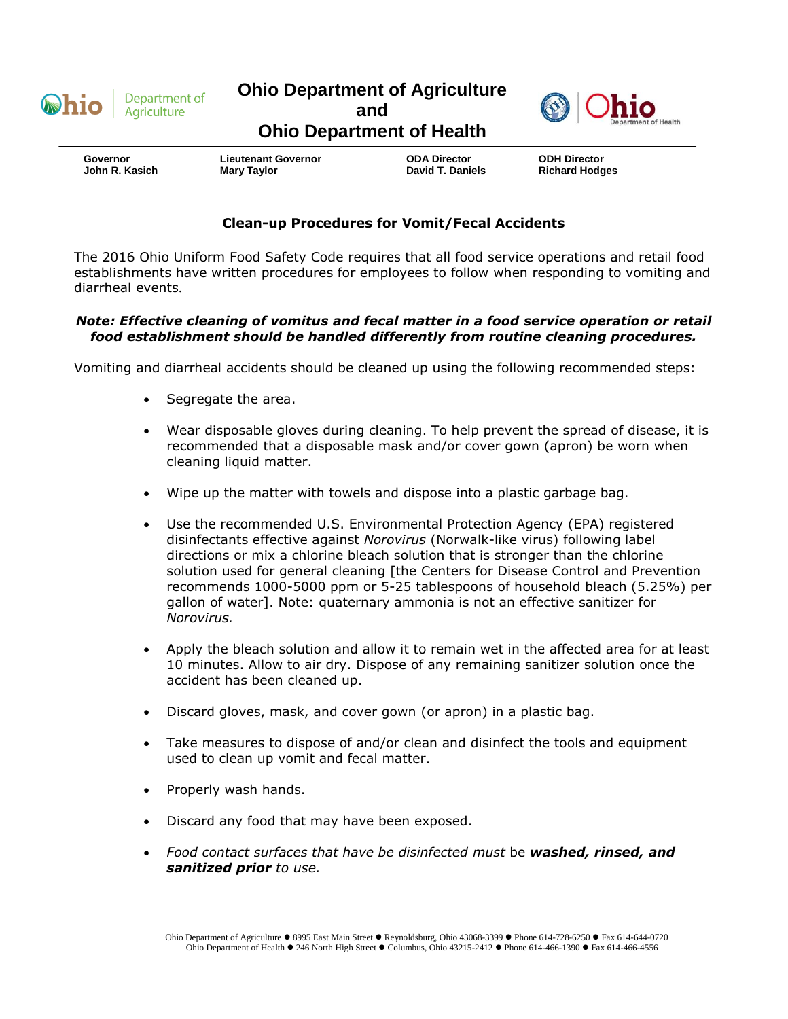

**Ohio Department of Agriculture**



**and**

## **Ohio Department of Health**

 **Governor John R. Kasich**

**Lieutenant Governor Mary Taylor** 

**ODA Director David T. Daniels** **ODH Director Richard Hodges**

## **Clean-up Procedures for Vomit/Fecal Accidents**

The 2016 Ohio Uniform Food Safety Code requires that all food service operations and retail food establishments have written procedures for employees to follow when responding to vomiting and diarrheal events.

## *Note: Effective cleaning of vomitus and fecal matter in a food service operation or retail food establishment should be handled differently from routine cleaning procedures.*

Vomiting and diarrheal accidents should be cleaned up using the following recommended steps:

- Segregate the area.
- Wear disposable gloves during cleaning. To help prevent the spread of disease, it is recommended that a disposable mask and/or cover gown (apron) be worn when cleaning liquid matter.
- Wipe up the matter with towels and dispose into a plastic garbage bag.
- Use the recommended U.S. Environmental Protection Agency (EPA) registered disinfectants effective against *Norovirus* (Norwalk-like virus) following label directions or mix a chlorine bleach solution that is stronger than the chlorine solution used for general cleaning [the Centers for Disease Control and Prevention recommends 1000-5000 ppm or 5-25 tablespoons of household bleach (5.25%) per gallon of water]. Note: quaternary ammonia is not an effective sanitizer for *Norovirus.*
- Apply the bleach solution and allow it to remain wet in the affected area for at least 10 minutes. Allow to air dry. Dispose of any remaining sanitizer solution once the accident has been cleaned up.
- Discard gloves, mask, and cover gown (or apron) in a plastic bag.
- Take measures to dispose of and/or clean and disinfect the tools and equipment used to clean up vomit and fecal matter.
- Properly wash hands.
- Discard any food that may have been exposed.
- *Food contact surfaces that have be disinfected must* be *washed, rinsed, and sanitized prior to use.*